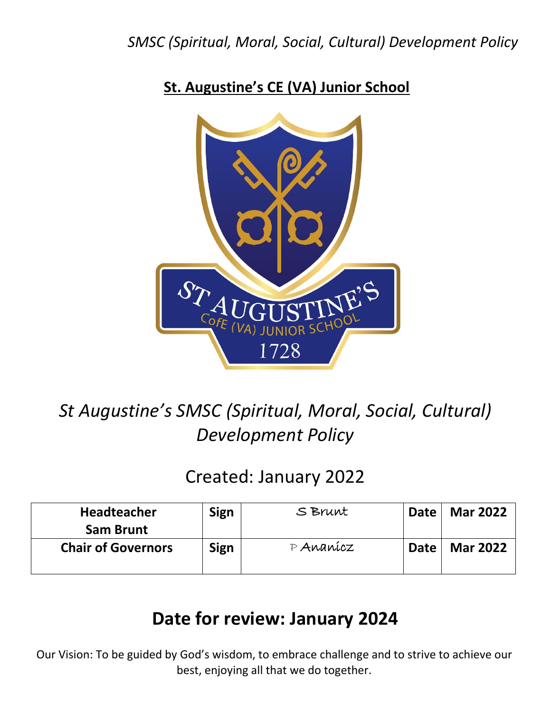## **St. Augustine's CE (VA) Junior School**



# *St Augustine's SMSC (Spiritual, Moral, Social, Cultural) Development Policy*

# Created: January 2022

| Headteacher               | <b>Sign</b> | S Brunt     | <b>Date</b> | <b>Mar 2022</b> |
|---------------------------|-------------|-------------|-------------|-----------------|
| <b>Sam Brunt</b>          |             |             |             |                 |
| <b>Chair of Governors</b> | <b>Sign</b> | $P$ Ananicz | Date        | <b>Mar 2022</b> |
|                           |             |             |             |                 |

# **Date for review: January 2024**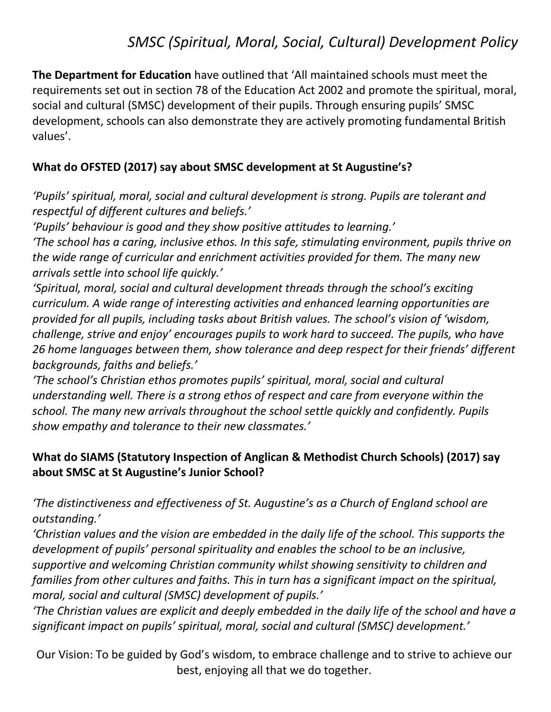**The Department for Education** have outlined that 'All maintained schools must meet the requirements set out in section 78 of the Education Act 2002 and promote the spiritual, moral, social and cultural (SMSC) development of their pupils. Through ensuring pupils' SMSC development, schools can also demonstrate they are actively promoting fundamental British values'.

### **What do OFSTED (2017) say about SMSC development at St Augustine's?**

*'Pupils' spiritual, moral, social and cultural development is strong. Pupils are tolerant and respectful of different cultures and beliefs.'*

*'Pupils' behaviour is good and they show positive attitudes to learning.'*

*'The school has a caring, inclusive ethos. In this safe, stimulating environment, pupils thrive on the wide range of curricular and enrichment activities provided for them. The many new arrivals settle into school life quickly.'*

*'Spiritual, moral, social and cultural development threads through the school's exciting curriculum. A wide range of interesting activities and enhanced learning opportunities are provided for all pupils, including tasks about British values. The school's vision of 'wisdom, challenge, strive and enjoy' encourages pupils to work hard to succeed. The pupils, who have 26 home languages between them, show tolerance and deep respect for their friends' different backgrounds, faiths and beliefs.'*

*'The school's Christian ethos promotes pupils' spiritual, moral, social and cultural understanding well. There is a strong ethos of respect and care from everyone within the school. The many new arrivals throughout the school settle quickly and confidently. Pupils show empathy and tolerance to their new classmates.'*

### **What do SIAMS (Statutory Inspection of Anglican & Methodist Church Schools) (2017) say about SMSC at St Augustine's Junior School?**

*'The distinctiveness and effectiveness of St. Augustine's as a Church of England school are outstanding.'*

*'Christian values and the vision are embedded in the daily life of the school. This supports the development of pupils' personal spirituality and enables the school to be an inclusive, supportive and welcoming Christian community whilst showing sensitivity to children and families from other cultures and faiths. This in turn has a significant impact on the spiritual, moral, social and cultural (SMSC) development of pupils.'*

*'The Christian values are explicit and deeply embedded in the daily life of the school and have a significant impact on pupils' spiritual, moral, social and cultural (SMSC) development.'*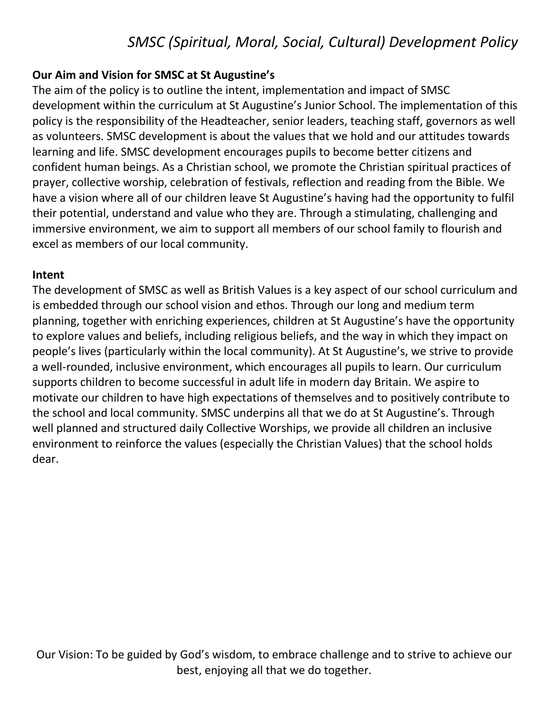#### **Our Aim and Vision for SMSC at St Augustine's**

The aim of the policy is to outline the intent, implementation and impact of SMSC development within the curriculum at St Augustine's Junior School. The implementation of this policy is the responsibility of the Headteacher, senior leaders, teaching staff, governors as well as volunteers. SMSC development is about the values that we hold and our attitudes towards learning and life. SMSC development encourages pupils to become better citizens and confident human beings. As a Christian school, we promote the Christian spiritual practices of prayer, collective worship, celebration of festivals, reflection and reading from the Bible. We have a vision where all of our children leave St Augustine's having had the opportunity to fulfil their potential, understand and value who they are. Through a stimulating, challenging and immersive environment, we aim to support all members of our school family to flourish and excel as members of our local community.

#### **Intent**

The development of SMSC as well as British Values is a key aspect of our school curriculum and is embedded through our school vision and ethos. Through our long and medium term planning, together with enriching experiences, children at St Augustine's have the opportunity to explore values and beliefs, including religious beliefs, and the way in which they impact on people's lives (particularly within the local community). At St Augustine's, we strive to provide a well-rounded, inclusive environment, which encourages all pupils to learn. Our curriculum supports children to become successful in adult life in modern day Britain. We aspire to motivate our children to have high expectations of themselves and to positively contribute to the school and local community. SMSC underpins all that we do at St Augustine's. Through well planned and structured daily Collective Worships, we provide all children an inclusive environment to reinforce the values (especially the Christian Values) that the school holds dear.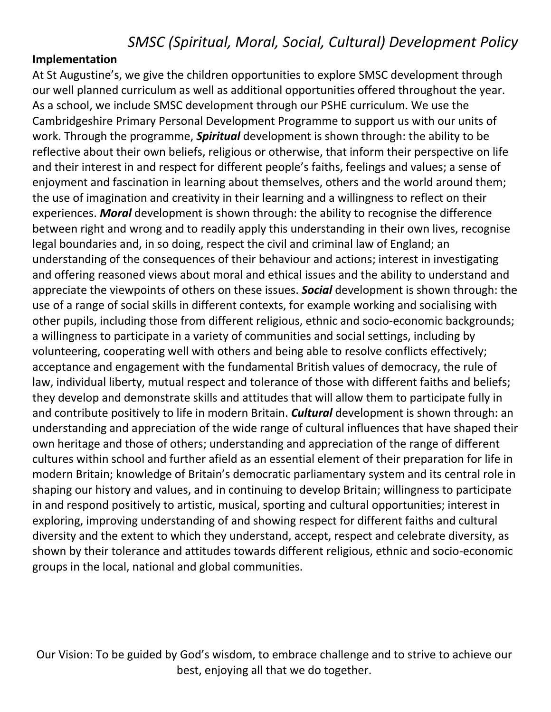#### **Implementation**

At St Augustine's, we give the children opportunities to explore SMSC development through our well planned curriculum as well as additional opportunities offered throughout the year. As a school, we include SMSC development through our PSHE curriculum. We use the Cambridgeshire Primary Personal Development Programme to support us with our units of work. Through the programme, *Spiritual* development is shown through: the ability to be reflective about their own beliefs, religious or otherwise, that inform their perspective on life and their interest in and respect for different people's faiths, feelings and values; a sense of enjoyment and fascination in learning about themselves, others and the world around them; the use of imagination and creativity in their learning and a willingness to reflect on their experiences. *Moral* development is shown through: the ability to recognise the difference between right and wrong and to readily apply this understanding in their own lives, recognise legal boundaries and, in so doing, respect the civil and criminal law of England; an understanding of the consequences of their behaviour and actions; interest in investigating and offering reasoned views about moral and ethical issues and the ability to understand and appreciate the viewpoints of others on these issues. *Social* development is shown through: the use of a range of social skills in different contexts, for example working and socialising with other pupils, including those from different religious, ethnic and socio-economic backgrounds; a willingness to participate in a variety of communities and social settings, including by volunteering, cooperating well with others and being able to resolve conflicts effectively; acceptance and engagement with the fundamental British values of democracy, the rule of law, individual liberty, mutual respect and tolerance of those with different faiths and beliefs; they develop and demonstrate skills and attitudes that will allow them to participate fully in and contribute positively to life in modern Britain. *Cultural* development is shown through: an understanding and appreciation of the wide range of cultural influences that have shaped their own heritage and those of others; understanding and appreciation of the range of different cultures within school and further afield as an essential element of their preparation for life in modern Britain; knowledge of Britain's democratic parliamentary system and its central role in shaping our history and values, and in continuing to develop Britain; willingness to participate in and respond positively to artistic, musical, sporting and cultural opportunities; interest in exploring, improving understanding of and showing respect for different faiths and cultural diversity and the extent to which they understand, accept, respect and celebrate diversity, as shown by their tolerance and attitudes towards different religious, ethnic and socio-economic groups in the local, national and global communities.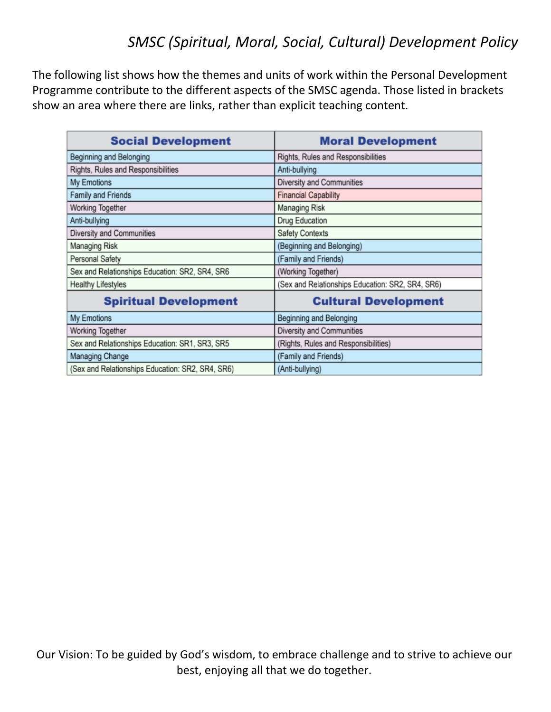The following list shows how the themes and units of work within the Personal Development Programme contribute to the different aspects of the SMSC agenda. Those listed in brackets show an area where there are links, rather than explicit teaching content.

| <b>Social Development</b>                        | <b>Moral Development</b>                         |
|--------------------------------------------------|--------------------------------------------------|
| Beginning and Belonging                          | Rights, Rules and Responsibilities               |
| Rights, Rules and Responsibilities               | Anti-bullying                                    |
| My Emotions                                      | Diversity and Communities                        |
| Family and Friends                               | <b>Financial Capability</b>                      |
| Working Together                                 | <b>Managing Risk</b>                             |
| Anti-bullying                                    | Drug Education                                   |
| Diversity and Communities                        | Safety Contexts                                  |
| <b>Managing Risk</b>                             | (Beginning and Belonging)                        |
| Personal Safety                                  | (Family and Friends)                             |
| Sex and Relationships Education: SR2, SR4, SR6   | (Working Together)                               |
| <b>Healthy Lifestyles</b>                        | (Sex and Relationships Education: SR2, SR4, SR6) |
| <b>Spiritual Development</b>                     | <b>Cultural Development</b>                      |
| My Emotions                                      | Beginning and Belonging                          |
| Working Together                                 | Diversity and Communities                        |
| Sex and Relationships Education: SR1, SR3, SR5   | (Rights, Rules and Responsibilities)             |
| Managing Change                                  | (Family and Friends)                             |
| (Sex and Relationships Education: SR2, SR4, SR6) | (Anti-bullying)                                  |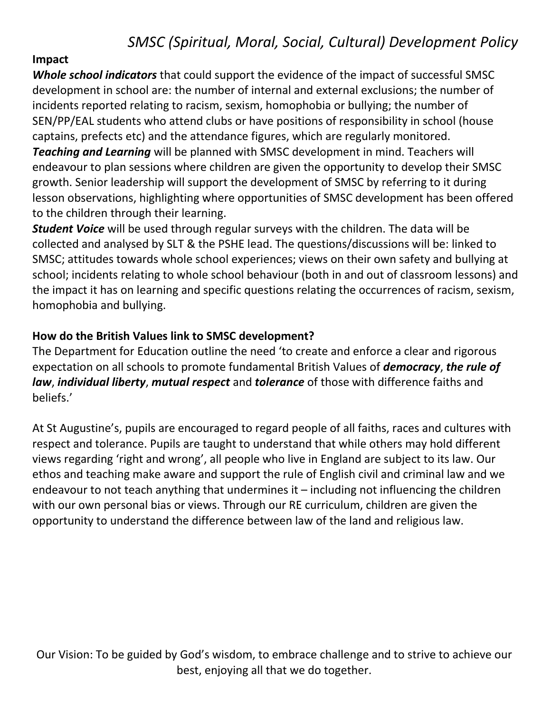### **Impact**

*Whole school indicators* that could support the evidence of the impact of successful SMSC development in school are: the number of internal and external exclusions; the number of incidents reported relating to racism, sexism, homophobia or bullying; the number of SEN/PP/EAL students who attend clubs or have positions of responsibility in school (house captains, prefects etc) and the attendance figures, which are regularly monitored. *Teaching and Learning* will be planned with SMSC development in mind. Teachers will endeavour to plan sessions where children are given the opportunity to develop their SMSC growth. Senior leadership will support the development of SMSC by referring to it during lesson observations, highlighting where opportunities of SMSC development has been offered to the children through their learning.

*Student Voice* will be used through regular surveys with the children. The data will be collected and analysed by SLT & the PSHE lead. The questions/discussions will be: linked to SMSC; attitudes towards whole school experiences; views on their own safety and bullying at school; incidents relating to whole school behaviour (both in and out of classroom lessons) and the impact it has on learning and specific questions relating the occurrences of racism, sexism, homophobia and bullying.

### **How do the British Values link to SMSC development?**

The Department for Education outline the need 'to create and enforce a clear and rigorous expectation on all schools to promote fundamental British Values of *democracy*, *the rule of law*, *individual liberty*, *mutual respect* and *tolerance* of those with difference faiths and beliefs.'

At St Augustine's, pupils are encouraged to regard people of all faiths, races and cultures with respect and tolerance. Pupils are taught to understand that while others may hold different views regarding 'right and wrong', all people who live in England are subject to its law. Our ethos and teaching make aware and support the rule of English civil and criminal law and we endeavour to not teach anything that undermines it – including not influencing the children with our own personal bias or views. Through our RE curriculum, children are given the opportunity to understand the difference between law of the land and religious law.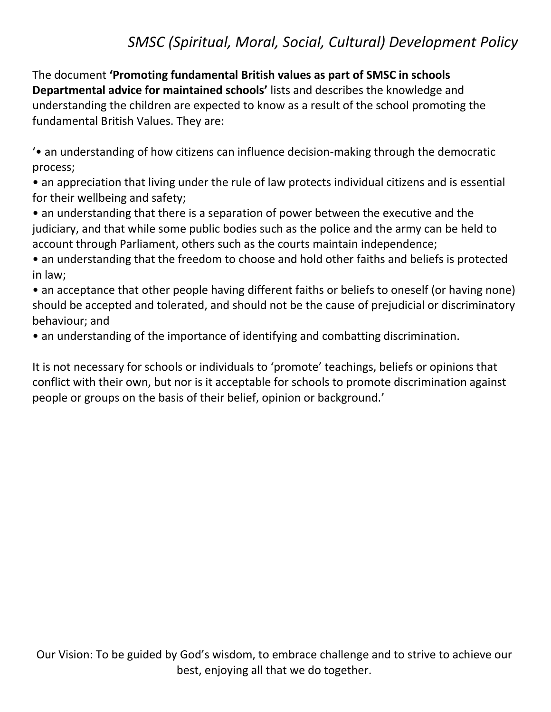The document **'Promoting fundamental British values as part of SMSC in schools Departmental advice for maintained schools'** lists and describes the knowledge and understanding the children are expected to know as a result of the school promoting the fundamental British Values. They are:

'• an understanding of how citizens can influence decision-making through the democratic process;

• an appreciation that living under the rule of law protects individual citizens and is essential for their wellbeing and safety;

• an understanding that there is a separation of power between the executive and the judiciary, and that while some public bodies such as the police and the army can be held to account through Parliament, others such as the courts maintain independence;

• an understanding that the freedom to choose and hold other faiths and beliefs is protected in law;

• an acceptance that other people having different faiths or beliefs to oneself (or having none) should be accepted and tolerated, and should not be the cause of prejudicial or discriminatory behaviour; and

• an understanding of the importance of identifying and combatting discrimination.

It is not necessary for schools or individuals to 'promote' teachings, beliefs or opinions that conflict with their own, but nor is it acceptable for schools to promote discrimination against people or groups on the basis of their belief, opinion or background.'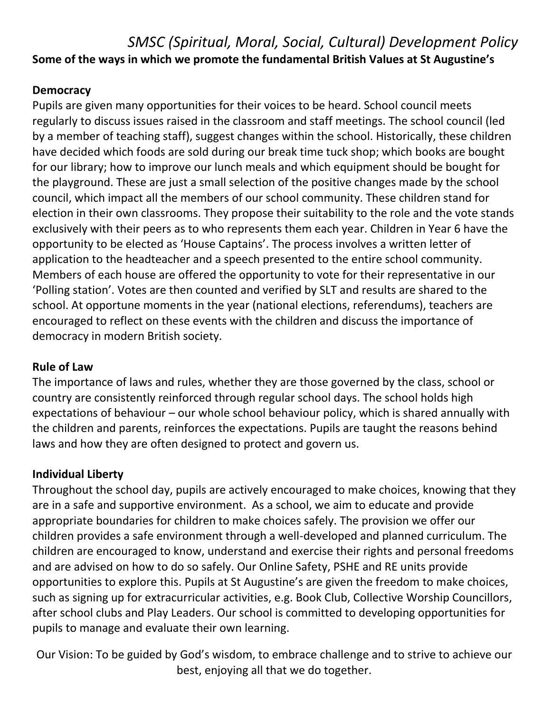### *SMSC (Spiritual, Moral, Social, Cultural) Development Policy* **Some of the ways in which we promote the fundamental British Values at St Augustine's**

### **Democracy**

Pupils are given many opportunities for their voices to be heard. School council meets regularly to discuss issues raised in the classroom and staff meetings. The school council (led by a member of teaching staff), suggest changes within the school. Historically, these children have decided which foods are sold during our break time tuck shop; which books are bought for our library; how to improve our lunch meals and which equipment should be bought for the playground. These are just a small selection of the positive changes made by the school council, which impact all the members of our school community. These children stand for election in their own classrooms. They propose their suitability to the role and the vote stands exclusively with their peers as to who represents them each year. Children in Year 6 have the opportunity to be elected as 'House Captains'. The process involves a written letter of application to the headteacher and a speech presented to the entire school community. Members of each house are offered the opportunity to vote for their representative in our 'Polling station'. Votes are then counted and verified by SLT and results are shared to the school. At opportune moments in the year (national elections, referendums), teachers are encouraged to reflect on these events with the children and discuss the importance of democracy in modern British society.

### **Rule of Law**

The importance of laws and rules, whether they are those governed by the class, school or country are consistently reinforced through regular school days. The school holds high expectations of behaviour – our whole school behaviour policy, which is shared annually with the children and parents, reinforces the expectations. Pupils are taught the reasons behind laws and how they are often designed to protect and govern us.

#### **Individual Liberty**

Throughout the school day, pupils are actively encouraged to make choices, knowing that they are in a safe and supportive environment. As a school, we aim to educate and provide appropriate boundaries for children to make choices safely. The provision we offer our children provides a safe environment through a well-developed and planned curriculum. The children are encouraged to know, understand and exercise their rights and personal freedoms and are advised on how to do so safely. Our Online Safety, PSHE and RE units provide opportunities to explore this. Pupils at St Augustine's are given the freedom to make choices, such as signing up for extracurricular activities, e.g. Book Club, Collective Worship Councillors, after school clubs and Play Leaders. Our school is committed to developing opportunities for pupils to manage and evaluate their own learning.